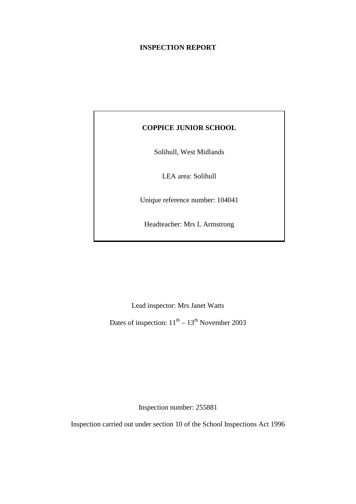### **INSPECTION REPORT**

### **COPPICE JUNIOR SCHOOL**

Solihull, West Midlands

LEA area: Solihull

Unique reference number: 104041

Headteacher: Mrs L Armstrong

Lead inspector: Mrs Janet Watts

Dates of inspection:  $11<sup>th</sup> - 13<sup>th</sup>$  November 2003

Inspection number: 255881

Inspection carried out under section 10 of the School Inspections Act 1996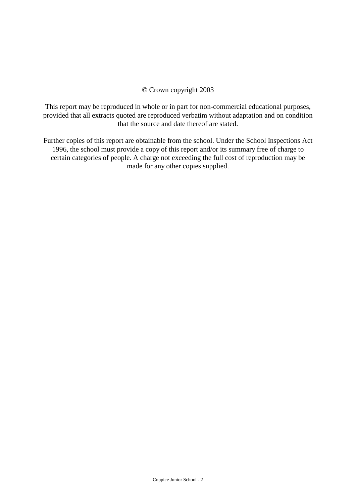### © Crown copyright 2003

This report may be reproduced in whole or in part for non-commercial educational purposes, provided that all extracts quoted are reproduced verbatim without adaptation and on condition that the source and date thereof are stated.

Further copies of this report are obtainable from the school. Under the School Inspections Act 1996, the school must provide a copy of this report and/or its summary free of charge to certain categories of people. A charge not exceeding the full cost of reproduction may be made for any other copies supplied.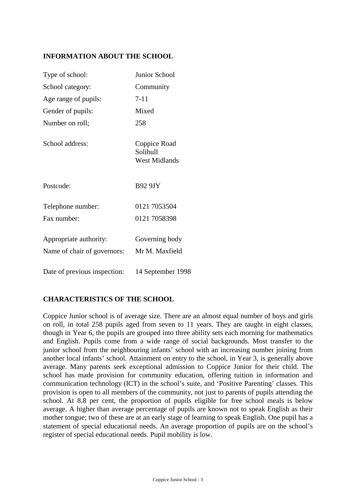### **INFORMATION ABOUT THE SCHOOL**

| Type of school:                                       | Junior School                                    |
|-------------------------------------------------------|--------------------------------------------------|
| School category:                                      | Community                                        |
| Age range of pupils:                                  | $7 - 11$                                         |
| Gender of pupils:                                     | Mixed                                            |
| Number on roll;                                       | 258                                              |
| School address:                                       | Coppice Road<br>Solihull<br><b>West Midlands</b> |
| Postcode:                                             | <b>B92 9JY</b>                                   |
| Telephone number:                                     | 0121 7053504                                     |
| Fax number:                                           | 0121 7058398                                     |
| Appropriate authority:<br>Name of chair of governors: | Governing body<br>Mr M. Maxfield                 |
| Date of previous inspection:                          | 14 September 1998                                |

## **CHARACTERISTICS OF THE SCHOOL**

Coppice Junior school is of average size. There are an almost equal number of boys and girls on roll, in total 258 pupils aged from seven to 11 years. They are taught in eight classes, though in Year 6, the pupils are grouped into three ability sets each morning for mathematics and English. Pupils come from a wide range of social backgrounds. Most transfer to the junior school from the neighbouring infants' school with an increasing number joining from another local infants' school. Attainment on entry to the school, in Year 3, is generally above average. Many parents seek exceptional admission to Coppice Junior for their child. The school has made provision for community education, offering tuition in information and communication technology (ICT) in the school's suite, and 'Positive Parenting' classes. This provision is open to all members of the community, not just to parents of pupils attending the school. At 8.8 per cent, the proportion of pupils eligible for free school meals is below average. A higher than average percentage of pupils are known not to speak English as their mother tongue; two of these are at an early stage of learning to speak English. One pupil has a statement of special educational needs. An average proportion of pupils are on the school's register of special educational needs. Pupil mobility is low.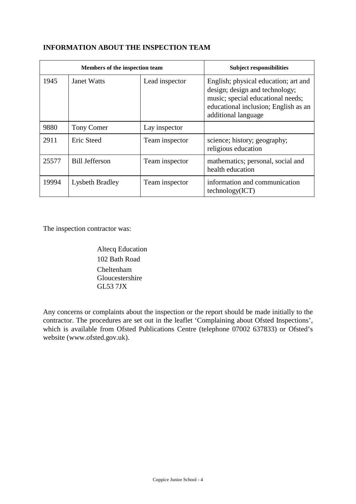## **INFORMATION ABOUT THE INSPECTION TEAM**

|       | Members of the inspection team |                | <b>Subject responsibilities</b>                                                                                                                                            |
|-------|--------------------------------|----------------|----------------------------------------------------------------------------------------------------------------------------------------------------------------------------|
| 1945  | <b>Janet Watts</b>             | Lead inspector | English; physical education; art and<br>design; design and technology;<br>music; special educational needs;<br>educational inclusion; English as an<br>additional language |
| 9880  | <b>Tony Comer</b>              | Lay inspector  |                                                                                                                                                                            |
| 2911  | Eric Steed                     | Team inspector | science; history; geography;<br>religious education                                                                                                                        |
| 25577 | <b>Bill Jefferson</b>          | Team inspector | mathematics; personal, social and<br>health education                                                                                                                      |
| 19994 | Lysbeth Bradley                | Team inspector | information and communication<br>technology(ICT)                                                                                                                           |

The inspection contractor was:

Altecq Education 102 Bath Road Cheltenham Gloucestershire GL53 7JX

Any concerns or complaints about the inspection or the report should be made initially to the contractor. The procedures are set out in the leaflet 'Complaining about Ofsted Inspections', which is available from Ofsted Publications Centre (telephone 07002 637833) or Ofsted's website (www.ofsted.gov.uk).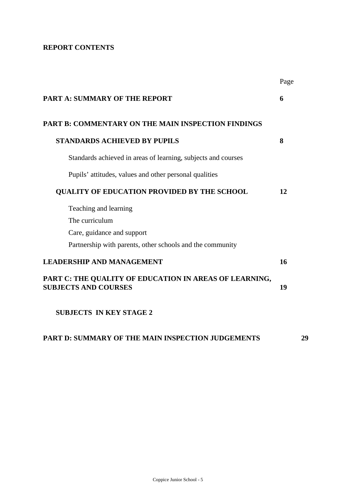# **REPORT CONTENTS**

|                                                                                       | Page |
|---------------------------------------------------------------------------------------|------|
| <b>PART A: SUMMARY OF THE REPORT</b>                                                  | 6    |
| <b>PART B: COMMENTARY ON THE MAIN INSPECTION FINDINGS</b>                             |      |
| <b>STANDARDS ACHIEVED BY PUPILS</b>                                                   | 8    |
| Standards achieved in areas of learning, subjects and courses                         |      |
| Pupils' attitudes, values and other personal qualities                                |      |
| <b>QUALITY OF EDUCATION PROVIDED BY THE SCHOOL</b>                                    | 12   |
| Teaching and learning                                                                 |      |
| The curriculum                                                                        |      |
| Care, guidance and support                                                            |      |
| Partnership with parents, other schools and the community                             |      |
| <b>LEADERSHIP AND MANAGEMENT</b>                                                      | 16   |
| PART C: THE QUALITY OF EDUCATION IN AREAS OF LEARNING,<br><b>SUBJECTS AND COURSES</b> | 19   |
| <b>SUBJECTS IN KEY STAGE 2</b>                                                        |      |
|                                                                                       |      |

# **PART D: SUMMARY OF THE MAIN INSPECTION JUDGEMENTS 29**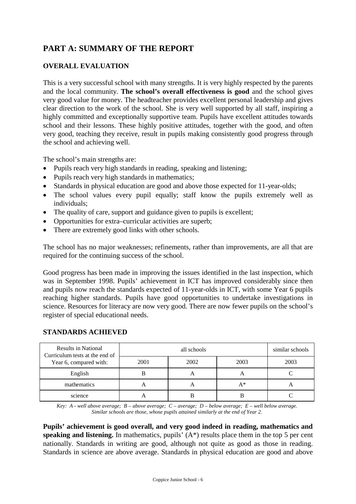# **PART A: SUMMARY OF THE REPORT**

### **OVERALL EVALUATION**

This is a very successful school with many strengths. It is very highly respected by the parents and the local community. **The school's overall effectiveness is good** and the school gives very good value for money. The headteacher provides excellent personal leadership and gives clear direction to the work of the school. She is very well supported by all staff, inspiring a highly committed and exceptionally supportive team. Pupils have excellent attitudes towards school and their lessons. These highly positive attitudes, together with the good, and often very good, teaching they receive, result in pupils making consistently good progress through the school and achieving well.

The school's main strengths are:

- Pupils reach very high standards in reading, speaking and listening;
- Pupils reach very high standards in mathematics;
- Standards in physical education are good and above those expected for 11-year-olds;
- The school values every pupil equally; staff know the pupils extremely well as individuals;
- The quality of care, support and guidance given to pupils is excellent;
- Opportunities for extra–curricular activities are superb;
- There are extremely good links with other schools.

The school has no major weaknesses; refinements, rather than improvements, are all that are required for the continuing success of the school.

Good progress has been made in improving the issues identified in the last inspection, which was in September 1998. Pupils' achievement in ICT has improved considerably since then and pupils now reach the standards expected of 11-year-olds in ICT, with some Year 6 pupils reaching higher standards. Pupils have good opportunities to undertake investigations in science. Resources for literacy are now very good. There are now fewer pupils on the school's register of special educational needs.

#### **STANDARDS ACHIEVED**

| <b>Results in National</b><br>Curriculum tests at the end of<br>Year 6, compared with: |      | similar schools |      |      |
|----------------------------------------------------------------------------------------|------|-----------------|------|------|
|                                                                                        | 2001 | 2002            | 2003 | 2003 |
| English                                                                                |      |                 |      |      |
| mathematics                                                                            | A    |                 | A*   | A    |
| science                                                                                | А    |                 |      |      |

*Key: A - well above average; B – above average; C – average; D – below average; E – well below average. Similar schools are those, whose pupils attained similarly at the end of Year 2.*

**Pupils' achievement is good overall, and very good indeed in reading, mathematics and speaking and listening.** In mathematics, pupils' (A\*) results place them in the top 5 per cent nationally. Standards in writing are good, although not quite as good as those in reading. Standards in science are above average. Standards in physical education are good and above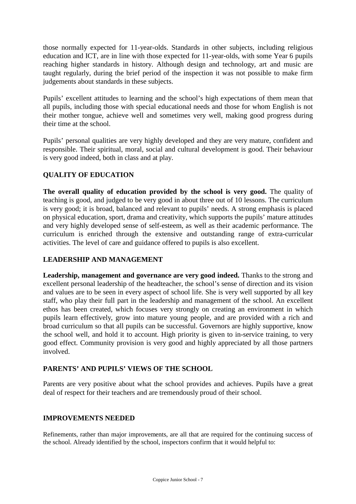those normally expected for 11-year-olds. Standards in other subjects, including religious education and ICT, are in line with those expected for 11-year-olds, with some Year 6 pupils reaching higher standards in history. Although design and technology, art and music are taught regularly, during the brief period of the inspection it was not possible to make firm judgements about standards in these subjects.

Pupils' excellent attitudes to learning and the school's high expectations of them mean that all pupils, including those with special educational needs and those for whom English is not their mother tongue, achieve well and sometimes very well, making good progress during their time at the school.

Pupils' personal qualities are very highly developed and they are very mature, confident and responsible. Their spiritual, moral, social and cultural development is good. Their behaviour is very good indeed, both in class and at play.

## **QUALITY OF EDUCATION**

**The overall quality of education provided by the school is very good.** The quality of teaching is good, and judged to be very good in about three out of 10 lessons. The curriculum is very good; it is broad, balanced and relevant to pupils' needs. A strong emphasis is placed on physical education, sport, drama and creativity, which supports the pupils' mature attitudes and very highly developed sense of self-esteem, as well as their academic performance. The curriculum is enriched through the extensive and outstanding range of extra-curricular activities. The level of care and guidance offered to pupils is also excellent.

### **LEADERSHIP AND MANAGEMENT**

Leadership, management and governance are very good indeed. Thanks to the strong and excellent personal leadership of the headteacher, the school's sense of direction and its vision and values are to be seen in every aspect of school life. She is very well supported by all key staff, who play their full part in the leadership and management of the school. An excellent ethos has been created, which focuses very strongly on creating an environment in which pupils learn effectively, grow into mature young people, and are provided with a rich and broad curriculum so that all pupils can be successful. Governors are highly supportive, know the school well, and hold it to account. High priority is given to in-service training, to very good effect. Community provision is very good and highly appreciated by all those partners involved.

### **PARENTS' AND PUPILS' VIEWS OF THE SCHOOL**

Parents are very positive about what the school provides and achieves. Pupils have a great deal of respect for their teachers and are tremendously proud of their school.

### **IMPROVEMENTS NEEDED**

Refinements, rather than major improvements, are all that are required for the continuing success of the school. Already identified by the school, inspectors confirm that it would helpful to: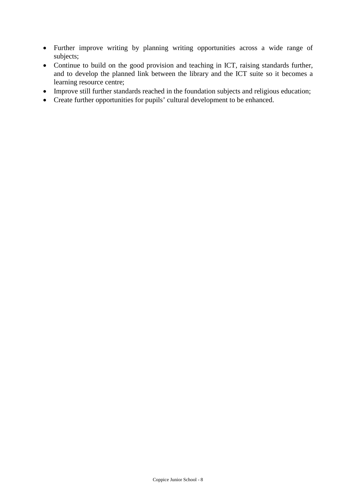- Further improve writing by planning writing opportunities across a wide range of subjects;
- Continue to build on the good provision and teaching in ICT, raising standards further, and to develop the planned link between the library and the ICT suite so it becomes a learning resource centre;
- Improve still further standards reached in the foundation subjects and religious education;
- Create further opportunities for pupils' cultural development to be enhanced.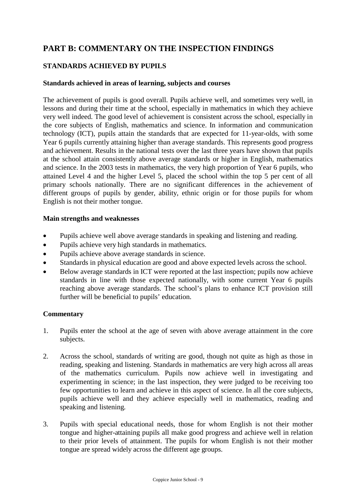# **PART B: COMMENTARY ON THE INSPECTION FINDINGS**

## **STANDARDS ACHIEVED BY PUPILS**

#### **Standards achieved in areas of learning, subjects and courses**

The achievement of pupils is good overall. Pupils achieve well, and sometimes very well, in lessons and during their time at the school, especially in mathematics in which they achieve very well indeed. The good level of achievement is consistent across the school, especially in the core subjects of English, mathematics and science. In information and communication technology (ICT), pupils attain the standards that are expected for 11-year-olds, with some Year 6 pupils currently attaining higher than average standards. This represents good progress and achievement. Results in the national tests over the last three years have shown that pupils at the school attain consistently above average standards or higher in English, mathematics and science. In the 2003 tests in mathematics, the very high proportion of Year 6 pupils, who attained Level 4 and the higher Level 5, placed the school within the top 5 per cent of all primary schools nationally. There are no significant differences in the achievement of different groups of pupils by gender, ability, ethnic origin or for those pupils for whom English is not their mother tongue.

#### **Main strengths and weaknesses**

- Pupils achieve well above average standards in speaking and listening and reading.
- Pupils achieve very high standards in mathematics.
- Pupils achieve above average standards in science.
- Standards in physical education are good and above expected levels across the school.
- Below average standards in ICT were reported at the last inspection; pupils now achieve standards in line with those expected nationally, with some current Year 6 pupils reaching above average standards. The school's plans to enhance ICT provision still further will be beneficial to pupils' education.

- 1. Pupils enter the school at the age of seven with above average attainment in the core subjects.
- 2. Across the school, standards of writing are good, though not quite as high as those in reading, speaking and listening. Standards in mathematics are very high across all areas of the mathematics curriculum. Pupils now achieve well in investigating and experimenting in science; in the last inspection, they were judged to be receiving too few opportunities to learn and achieve in this aspect of science. In all the core subjects, pupils achieve well and they achieve especially well in mathematics, reading and speaking and listening.
- 3. Pupils with special educational needs, those for whom English is not their mother tongue and higher-attaining pupils all make good progress and achieve well in relation to their prior levels of attainment. The pupils for whom English is not their mother tongue are spread widely across the different age groups.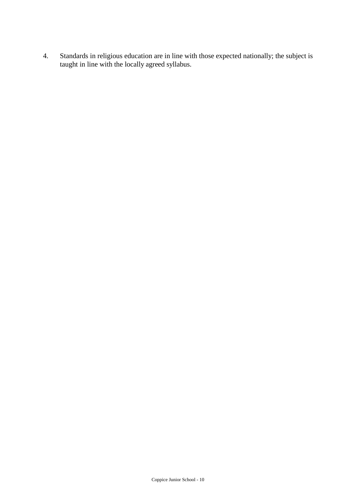4. Standards in religious education are in line with those expected nationally; the subject is taught in line with the locally agreed syllabus.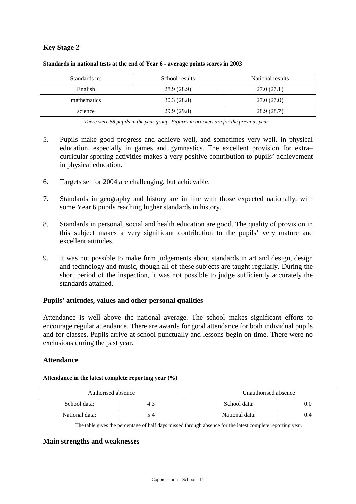## **Key Stage 2**

| Standards in: | School results |            |
|---------------|----------------|------------|
| English       | 28.9 (28.9)    | 27.0(27.1) |
| mathematics   | 30.3(28.8)     | 27.0(27.0) |
| science       | 29.9(29.8)     | 28.9(28.7) |

#### **Standards in national tests at the end of Year 6 - average points scores in 2003**

*There were 58 pupils in the year group. Figures in brackets are for the previous year.*

- 5. Pupils make good progress and achieve well, and sometimes very well, in physical education, especially in games and gymnastics. The excellent provision for extra– curricular sporting activities makes a very positive contribution to pupils' achievement in physical education.
- 6. Targets set for 2004 are challenging, but achievable.
- 7. Standards in geography and history are in line with those expected nationally, with some Year 6 pupils reaching higher standards in history.
- 8. Standards in personal, social and health education are good. The quality of provision in this subject makes a very significant contribution to the pupils' very mature and excellent attitudes.
- 9. It was not possible to make firm judgements about standards in art and design, design and technology and music, though all of these subjects are taught regularly. During the short period of the inspection, it was not possible to judge sufficiently accurately the standards attained.

#### **Pupils' attitudes, values and other personal qualities**

Attendance is well above the national average. The school makes significant efforts to encourage regular attendance. There are awards for good attendance for both individual pupils and for classes. Pupils arrive at school punctually and lessons begin on time. There were no exclusions during the past year.

#### **Attendance**

#### **Attendance in the latest complete reporting year (%)**

| Authorised absence |     | Unauthorised absence |     |
|--------------------|-----|----------------------|-----|
| School data:       |     | School data:         | 0.0 |
| National data:     | 5.4 | National data:       | 0.4 |

The table gives the percentage of half days missed through absence for the latest complete reporting year.

#### **Main strengths and weaknesses**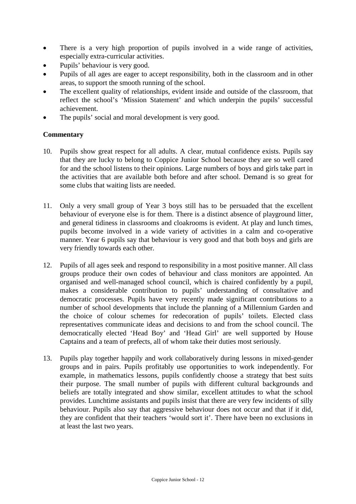- There is a very high proportion of pupils involved in a wide range of activities, especially extra-curricular activities.
- Pupils' behaviour is very good.
- Pupils of all ages are eager to accept responsibility, both in the classroom and in other areas, to support the smooth running of the school.
- The excellent quality of relationships, evident inside and outside of the classroom, that reflect the school's 'Mission Statement' and which underpin the pupils' successful achievement.
- The pupils' social and moral development is very good.

- 10. Pupils show great respect for all adults. A clear, mutual confidence exists. Pupils say that they are lucky to belong to Coppice Junior School because they are so well cared for and the school listens to their opinions. Large numbers of boys and girls take part in the activities that are available both before and after school. Demand is so great for some clubs that waiting lists are needed.
- 11. Only a very small group of Year 3 boys still has to be persuaded that the excellent behaviour of everyone else is for them. There is a distinct absence of playground litter, and general tidiness in classrooms and cloakrooms is evident. At play and lunch times, pupils become involved in a wide variety of activities in a calm and co-operative manner. Year 6 pupils say that behaviour is very good and that both boys and girls are very friendly towards each other.
- 12. Pupils of all ages seek and respond to responsibility in a most positive manner. All class groups produce their own codes of behaviour and class monitors are appointed. An organised and well-managed school council, which is chaired confidently by a pupil, makes a considerable contribution to pupils' understanding of consultative and democratic processes. Pupils have very recently made significant contributions to a number of school developments that include the planning of a Millennium Garden and the choice of colour schemes for redecoration of pupils' toilets. Elected class representatives communicate ideas and decisions to and from the school council. The democratically elected 'Head Boy' and 'Head Girl' are well supported by House Captains and a team of prefects, all of whom take their duties most seriously.
- 13. Pupils play together happily and work collaboratively during lessons in mixed-gender groups and in pairs. Pupils profitably use opportunities to work independently. For example, in mathematics lessons, pupils confidently choose a strategy that best suits their purpose. The small number of pupils with different cultural backgrounds and beliefs are totally integrated and show similar, excellent attitudes to what the school provides. Lunchtime assistants and pupils insist that there are very few incidents of silly behaviour. Pupils also say that aggressive behaviour does not occur and that if it did, they are confident that their teachers 'would sort it'. There have been no exclusions in at least the last two years.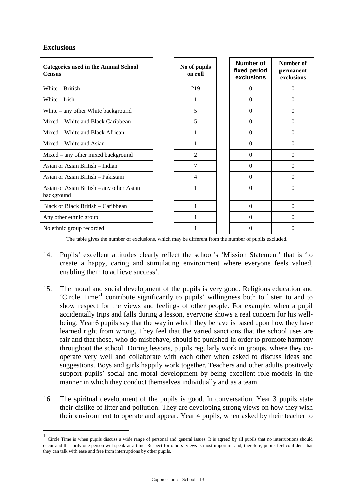### **Exclusions**

<u>.</u>

| <b>Categories used in the Annual School</b><br><b>Census</b> | No of pupils<br>on roll | Number of<br>fixed period<br>exclusions | Number of<br>permanent<br>exclusions |
|--------------------------------------------------------------|-------------------------|-----------------------------------------|--------------------------------------|
| White – British                                              | 219                     | $\Omega$                                | $\theta$                             |
| White – Irish                                                | 1                       | $\Omega$                                | $\Omega$                             |
| White $-$ any other White background                         | 5                       | $\Omega$                                | $\Omega$                             |
| Mixed – White and Black Caribbean                            | 5                       | $\Omega$                                | $\theta$                             |
| Mixed – White and Black African                              |                         | $\Omega$                                | $\Omega$                             |
| Mixed – White and Asian                                      |                         | $\Omega$                                | $\Omega$                             |
| Mixed – any other mixed background                           | $\mathfrak{D}$          | $\Omega$                                | $\Omega$                             |
| Asian or Asian British – Indian                              | 7                       | $\Omega$                                | $\Omega$                             |
| Asian or Asian British – Pakistani                           | 4                       | $\Omega$                                | $\Omega$                             |
| Asian or Asian British – any other Asian<br>background       |                         | $\theta$                                | $\Omega$                             |
| Black or Black British – Caribbean                           |                         | $\theta$                                | $\theta$                             |
| Any other ethnic group                                       |                         | $\Omega$                                | $\theta$                             |
| No ethnic group recorded                                     |                         | 0                                       | $\Omega$                             |

The table gives the number of exclusions, which may be different from the number of pupils excluded.

- 14. Pupils' excellent attitudes clearly reflect the school's 'Mission Statement' that is 'to create a happy, caring and stimulating environment where everyone feels valued, enabling them to achieve success'.
- 15. The moral and social development of the pupils is very good. Religious education and 'Circle Time'<sup>1</sup> contribute significantly to pupils' willingness both to listen to and to show respect for the views and feelings of other people. For example, when a pupil accidentally trips and falls during a lesson, everyone shows a real concern for his wellbeing. Year 6 pupils say that the way in which they behave is based upon how they have learned right from wrong. They feel that the varied sanctions that the school uses are fair and that those, who do misbehave, should be punished in order to promote harmony throughout the school. During lessons, pupils regularly work in groups, where they cooperate very well and collaborate with each other when asked to discuss ideas and suggestions. Boys and girls happily work together. Teachers and other adults positively support pupils' social and moral development by being excellent role-models in the manner in which they conduct themselves individually and as a team.
- 16. The spiritual development of the pupils is good. In conversation, Year 3 pupils state their dislike of litter and pollution. They are developing strong views on how they wish their environment to operate and appear. Year 4 pupils, when asked by their teacher to

<sup>1</sup> Circle Time is when pupils discuss a wide range of personal and general issues. It is agreed by all pupils that no interruptions should occur and that only one person will speak at a time. Respect for others' views is most important and, therefore, pupils feel confident that they can talk with ease and free from interruptions by other pupils.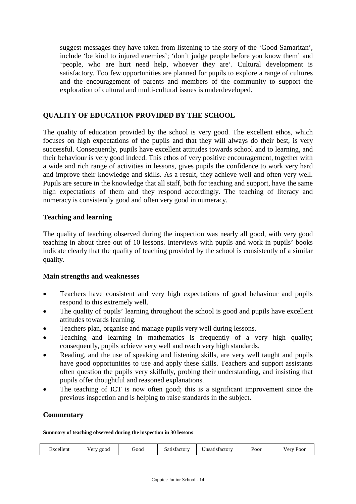suggest messages they have taken from listening to the story of the 'Good Samaritan', include 'be kind to injured enemies'; 'don't judge people before you know them' and 'people, who are hurt need help, whoever they are'. Cultural development is satisfactory. Too few opportunities are planned for pupils to explore a range of cultures and the encouragement of parents and members of the community to support the exploration of cultural and multi-cultural issues is underdeveloped.

### **QUALITY OF EDUCATION PROVIDED BY THE SCHOOL**

The quality of education provided by the school is very good. The excellent ethos, which focuses on high expectations of the pupils and that they will always do their best, is very successful. Consequently, pupils have excellent attitudes towards school and to learning, and their behaviour is very good indeed. This ethos of very positive encouragement, together with a wide and rich range of activities in lessons, gives pupils the confidence to work very hard and improve their knowledge and skills. As a result, they achieve well and often very well. Pupils are secure in the knowledge that all staff, both for teaching and support, have the same high expectations of them and they respond accordingly. The teaching of literacy and numeracy is consistently good and often very good in numeracy.

### **Teaching and learning**

The quality of teaching observed during the inspection was nearly all good, with very good teaching in about three out of 10 lessons. Interviews with pupils and work in pupils' books indicate clearly that the quality of teaching provided by the school is consistently of a similar quality.

#### **Main strengths and weaknesses**

- Teachers have consistent and very high expectations of good behaviour and pupils respond to this extremely well.
- The quality of pupils' learning throughout the school is good and pupils have excellent attitudes towards learning.
- Teachers plan, organise and manage pupils very well during lessons.
- Teaching and learning in mathematics is frequently of a very high quality; consequently, pupils achieve very well and reach very high standards.
- Reading, and the use of speaking and listening skills, are very well taught and pupils have good opportunities to use and apply these skills. Teachers and support assistants often question the pupils very skilfully, probing their understanding, and insisting that pupils offer thoughtful and reasoned explanations.
- The teaching of ICT is now often good; this is a significant improvement since the previous inspection and is helping to raise standards in the subject.

#### **Commentary**

#### **Summary of teaching observed during the inspection in 30 lessons**

| $ -$<br>- -<br>Poor<br>boot'<br>Satisfactory<br>Jnsatısfactorv<br>Excellent<br>2000<br>$V \triangle T$ | $V$ $PIV$<br>Poor |
|--------------------------------------------------------------------------------------------------------|-------------------|
|--------------------------------------------------------------------------------------------------------|-------------------|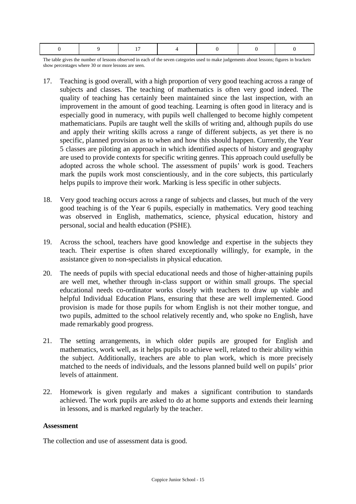The table gives the number of lessons observed in each of the seven categories used to make judgements about lessons; figures in brackets show percentages where 30 or more lessons are seen.

- 17. Teaching is good overall, with a high proportion of very good teaching across a range of subjects and classes. The teaching of mathematics is often very good indeed. The quality of teaching has certainly been maintained since the last inspection, with an improvement in the amount of good teaching. Learning is often good in literacy and is especially good in numeracy, with pupils well challenged to become highly competent mathematicians. Pupils are taught well the skills of writing and, although pupils do use and apply their writing skills across a range of different subjects, as yet there is no specific, planned provision as to when and how this should happen. Currently, the Year 5 classes are piloting an approach in which identified aspects of history and geography are used to provide contexts for specific writing genres. This approach could usefully be adopted across the whole school. The assessment of pupils' work is good. Teachers mark the pupils work most conscientiously, and in the core subjects, this particularly helps pupils to improve their work. Marking is less specific in other subjects.
- 18. Very good teaching occurs across a range of subjects and classes, but much of the very good teaching is of the Year 6 pupils, especially in mathematics. Very good teaching was observed in English, mathematics, science, physical education, history and personal, social and health education (PSHE).
- 19. Across the school, teachers have good knowledge and expertise in the subjects they teach. Their expertise is often shared exceptionally willingly, for example, in the assistance given to non-specialists in physical education.
- 20. The needs of pupils with special educational needs and those of higher-attaining pupils are well met, whether through in-class support or within small groups. The special educational needs co-ordinator works closely with teachers to draw up viable and helpful Individual Education Plans, ensuring that these are well implemented. Good provision is made for those pupils for whom English is not their mother tongue, and two pupils, admitted to the school relatively recently and, who spoke no English, have made remarkably good progress.
- 21. The setting arrangements, in which older pupils are grouped for English and mathematics, work well, as it helps pupils to achieve well, related to their ability within the subject. Additionally, teachers are able to plan work, which is more precisely matched to the needs of individuals, and the lessons planned build well on pupils' prior levels of attainment.
- 22. Homework is given regularly and makes a significant contribution to standards achieved. The work pupils are asked to do at home supports and extends their learning in lessons, and is marked regularly by the teacher.

#### **Assessment**

The collection and use of assessment data is good.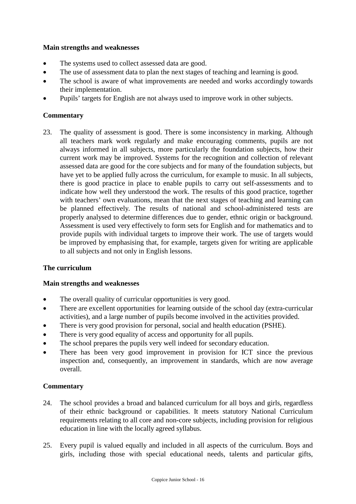### **Main strengths and weaknesses**

- The systems used to collect assessed data are good.
- The use of assessment data to plan the next stages of teaching and learning is good.
- The school is aware of what improvements are needed and works accordingly towards their implementation.
- Pupils' targets for English are not always used to improve work in other subjects.

### **Commentary**

23. The quality of assessment is good. There is some inconsistency in marking. Although all teachers mark work regularly and make encouraging comments, pupils are not always informed in all subjects, more particularly the foundation subjects, how their current work may be improved. Systems for the recognition and collection of relevant assessed data are good for the core subjects and for many of the foundation subjects, but have yet to be applied fully across the curriculum, for example to music. In all subjects, there is good practice in place to enable pupils to carry out self-assessments and to indicate how well they understood the work. The results of this good practice, together with teachers' own evaluations, mean that the next stages of teaching and learning can be planned effectively. The results of national and school-administered tests are properly analysed to determine differences due to gender, ethnic origin or background. Assessment is used very effectively to form sets for English and for mathematics and to provide pupils with individual targets to improve their work. The use of targets would be improved by emphasising that, for example, targets given for writing are applicable to all subjects and not only in English lessons.

### **The curriculum**

### **Main strengths and weaknesses**

- The overall quality of curricular opportunities is very good.
- There are excellent opportunities for learning outside of the school day (extra-curricular activities), and a large number of pupils become involved in the activities provided.
- There is very good provision for personal, social and health education (PSHE).
- There is very good equality of access and opportunity for all pupils.
- The school prepares the pupils very well indeed for secondary education.
- There has been very good improvement in provision for ICT since the previous inspection and, consequently, an improvement in standards, which are now average overall.

- 24. The school provides a broad and balanced curriculum for all boys and girls, regardless of their ethnic background or capabilities. It meets statutory National Curriculum requirements relating to all core and non-core subjects, including provision for religious education in line with the locally agreed syllabus.
- 25. Every pupil is valued equally and included in all aspects of the curriculum. Boys and girls, including those with special educational needs, talents and particular gifts,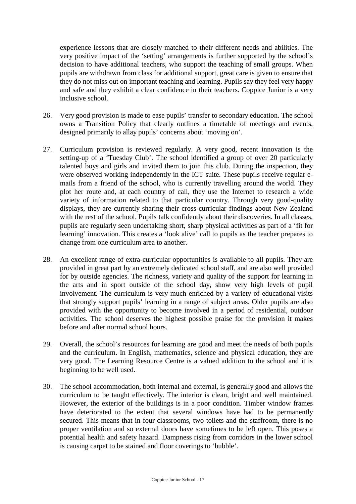experience lessons that are closely matched to their different needs and abilities. The very positive impact of the 'setting' arrangements is further supported by the school's decision to have additional teachers, who support the teaching of small groups. When pupils are withdrawn from class for additional support, great care is given to ensure that they do not miss out on important teaching and learning. Pupils say they feel very happy and safe and they exhibit a clear confidence in their teachers. Coppice Junior is a very inclusive school.

- 26. Very good provision is made to ease pupils' transfer to secondary education. The school owns a Transition Policy that clearly outlines a timetable of meetings and events, designed primarily to allay pupils' concerns about 'moving on'.
- 27. Curriculum provision is reviewed regularly. A very good, recent innovation is the setting-up of a 'Tuesday Club'. The school identified a group of over 20 particularly talented boys and girls and invited them to join this club. During the inspection, they were observed working independently in the ICT suite. These pupils receive regular emails from a friend of the school, who is currently travelling around the world. They plot her route and, at each country of call, they use the Internet to research a wide variety of information related to that particular country. Through very good-quality displays, they are currently sharing their cross-curricular findings about New Zealand with the rest of the school. Pupils talk confidently about their discoveries. In all classes, pupils are regularly seen undertaking short, sharp physical activities as part of a 'fit for learning' innovation. This creates a 'look alive' call to pupils as the teacher prepares to change from one curriculum area to another.
- 28. An excellent range of extra-curricular opportunities is available to all pupils. They are provided in great part by an extremely dedicated school staff, and are also well provided for by outside agencies. The richness, variety and quality of the support for learning in the arts and in sport outside of the school day, show very high levels of pupil involvement. The curriculum is very much enriched by a variety of educational visits that strongly support pupils' learning in a range of subject areas. Older pupils are also provided with the opportunity to become involved in a period of residential, outdoor activities. The school deserves the highest possible praise for the provision it makes before and after normal school hours.
- 29. Overall, the school's resources for learning are good and meet the needs of both pupils and the curriculum. In English, mathematics, science and physical education, they are very good. The Learning Resource Centre is a valued addition to the school and it is beginning to be well used.
- 30. The school accommodation, both internal and external, is generally good and allows the curriculum to be taught effectively. The interior is clean, bright and well maintained. However, the exterior of the buildings is in a poor condition. Timber window frames have deteriorated to the extent that several windows have had to be permanently secured. This means that in four classrooms, two toilets and the staffroom, there is no proper ventilation and so external doors have sometimes to be left open. This poses a potential health and safety hazard. Dampness rising from corridors in the lower school is causing carpet to be stained and floor coverings to 'bubble'.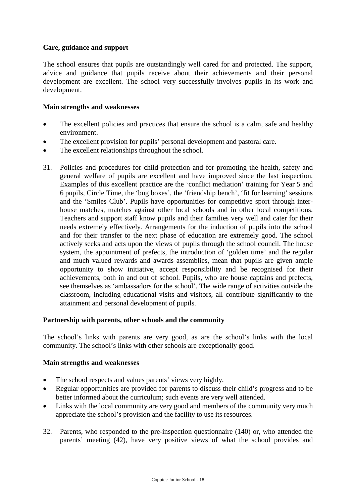### **Care, guidance and support**

The school ensures that pupils are outstandingly well cared for and protected. The support, advice and guidance that pupils receive about their achievements and their personal development are excellent. The school very successfully involves pupils in its work and development.

#### **Main strengths and weaknesses**

- The excellent policies and practices that ensure the school is a calm, safe and healthy environment.
- The excellent provision for pupils' personal development and pastoral care.
- The excellent relationships throughout the school.
- 31. Policies and procedures for child protection and for promoting the health, safety and general welfare of pupils are excellent and have improved since the last inspection. Examples of this excellent practice are the 'conflict mediation' training for Year 5 and 6 pupils, Circle Time, the 'bug boxes', the 'friendship bench', 'fit for learning' sessions and the 'Smiles Club'. Pupils have opportunities for competitive sport through interhouse matches, matches against other local schools and in other local competitions. Teachers and support staff know pupils and their families very well and cater for their needs extremely effectively. Arrangements for the induction of pupils into the school and for their transfer to the next phase of education are extremely good. The school actively seeks and acts upon the views of pupils through the school council. The house system, the appointment of prefects, the introduction of 'golden time' and the regular and much valued rewards and awards assemblies, mean that pupils are given ample opportunity to show initiative, accept responsibility and be recognised for their achievements, both in and out of school. Pupils, who are house captains and prefects, see themselves as 'ambassadors for the school'. The wide range of activities outside the classroom, including educational visits and visitors, all contribute significantly to the attainment and personal development of pupils.

#### **Partnership with parents, other schools and the community**

The school's links with parents are very good, as are the school's links with the local community. The school's links with other schools are exceptionally good.

#### **Main strengths and weaknesses**

- The school respects and values parents' views very highly.
- Regular opportunities are provided for parents to discuss their child's progress and to be better informed about the curriculum; such events are very well attended.
- Links with the local community are very good and members of the community very much appreciate the school's provision and the facility to use its resources.
- 32. Parents, who responded to the pre-inspection questionnaire (140) or, who attended the parents' meeting (42), have very positive views of what the school provides and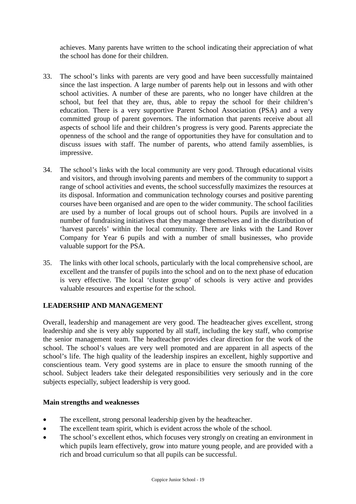achieves. Many parents have written to the school indicating their appreciation of what the school has done for their children.

- 33. The school's links with parents are very good and have been successfully maintained since the last inspection. A large number of parents help out in lessons and with other school activities. A number of these are parents, who no longer have children at the school, but feel that they are, thus, able to repay the school for their children's education. There is a very supportive Parent School Association (PSA) and a very committed group of parent governors. The information that parents receive about all aspects of school life and their children's progress is very good. Parents appreciate the openness of the school and the range of opportunities they have for consultation and to discuss issues with staff. The number of parents, who attend family assemblies, is impressive.
- 34. The school's links with the local community are very good. Through educational visits and visitors, and through involving parents and members of the community to support a range of school activities and events, the school successfully maximizes the resources at its disposal. Information and communication technology courses and positive parenting courses have been organised and are open to the wider community. The school facilities are used by a number of local groups out of school hours. Pupils are involved in a number of fundraising initiatives that they manage themselves and in the distribution of 'harvest parcels' within the local community. There are links with the Land Rover Company for Year 6 pupils and with a number of small businesses, who provide valuable support for the PSA.
- 35. The links with other local schools, particularly with the local comprehensive school, are excellent and the transfer of pupils into the school and on to the next phase of education is very effective. The local 'cluster group' of schools is very active and provides valuable resources and expertise for the school.

### **LEADERSHIP AND MANAGEMENT**

Overall, leadership and management are very good. The headteacher gives excellent, strong leadership and she is very ably supported by all staff, including the key staff, who comprise the senior management team. The headteacher provides clear direction for the work of the school. The school's values are very well promoted and are apparent in all aspects of the school's life. The high quality of the leadership inspires an excellent, highly supportive and conscientious team. Very good systems are in place to ensure the smooth running of the school. Subject leaders take their delegated responsibilities very seriously and in the core subjects especially, subject leadership is very good.

### **Main strengths and weaknesses**

- The excellent, strong personal leadership given by the headteacher.
- The excellent team spirit, which is evident across the whole of the school.
- The school's excellent ethos, which focuses very strongly on creating an environment in which pupils learn effectively, grow into mature young people, and are provided with a rich and broad curriculum so that all pupils can be successful.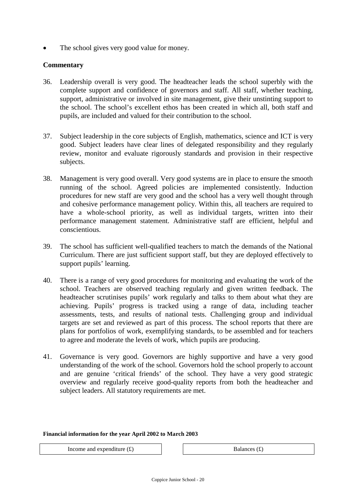The school gives very good value for money.

### **Commentary**

- 36. Leadership overall is very good. The headteacher leads the school superbly with the complete support and confidence of governors and staff. All staff, whether teaching, support, administrative or involved in site management, give their unstinting support to the school. The school's excellent ethos has been created in which all, both staff and pupils, are included and valued for their contribution to the school.
- 37. Subject leadership in the core subjects of English, mathematics, science and ICT is very good. Subject leaders have clear lines of delegated responsibility and they regularly review, monitor and evaluate rigorously standards and provision in their respective subjects.
- 38. Management is very good overall. Very good systems are in place to ensure the smooth running of the school. Agreed policies are implemented consistently. Induction procedures for new staff are very good and the school has a very well thought through and cohesive performance management policy. Within this, all teachers are required to have a whole-school priority, as well as individual targets, written into their performance management statement. Administrative staff are efficient, helpful and conscientious.
- 39. The school has sufficient well-qualified teachers to match the demands of the National Curriculum. There are just sufficient support staff, but they are deployed effectively to support pupils' learning.
- 40. There is a range of very good procedures for monitoring and evaluating the work of the school. Teachers are observed teaching regularly and given written feedback. The headteacher scrutinises pupils' work regularly and talks to them about what they are achieving. Pupils' progress is tracked using a range of data, including teacher assessments, tests, and results of national tests. Challenging group and individual targets are set and reviewed as part of this process. The school reports that there are plans for portfolios of work, exemplifying standards, to be assembled and for teachers to agree and moderate the levels of work, which pupils are producing.
- 41. Governance is very good. Governors are highly supportive and have a very good understanding of the work of the school. Governors hold the school properly to account and are genuine 'critical friends' of the school. They have a very good strategic overview and regularly receive good-quality reports from both the headteacher and subject leaders. All statutory requirements are met.

#### **Financial information for the year April 2002 to March 2003**

Income and expenditure  $(f)$   $\qquad$  Balances  $(f)$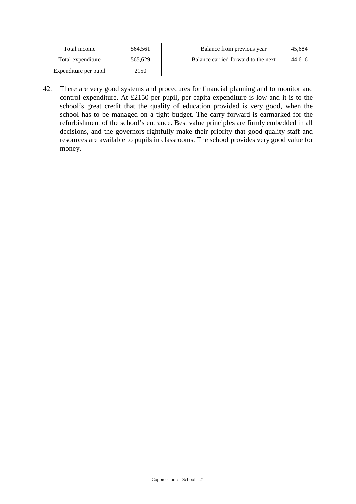| Total income          | 564,561 |
|-----------------------|---------|
| Total expenditure     | 565,629 |
| Expenditure per pupil | 2150    |

| Total income         | 564.561 | Balance from previous year          | 45.684 |
|----------------------|---------|-------------------------------------|--------|
| Total expenditure    | 565.629 | Balance carried forward to the next | 44.616 |
| xpenditure per pupil | 2150    |                                     |        |

42. There are very good systems and procedures for financial planning and to monitor and control expenditure. At £2150 per pupil, per capita expenditure is low and it is to the school's great credit that the quality of education provided is very good, when the school has to be managed on a tight budget. The carry forward is earmarked for the refurbishment of the school's entrance. Best value principles are firmly embedded in all decisions, and the governors rightfully make their priority that good-quality staff and resources are available to pupils in classrooms. The school provides very good value for money.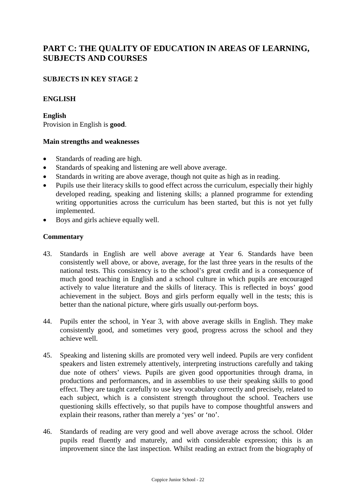# **PART C: THE QUALITY OF EDUCATION IN AREAS OF LEARNING, SUBJECTS AND COURSES**

### **SUBJECTS IN KEY STAGE 2**

#### **ENGLISH**

**English** Provision in English is **good**.

#### **Main strengths and weaknesses**

- Standards of reading are high.
- Standards of speaking and listening are well above average.
- Standards in writing are above average, though not quite as high as in reading.
- Pupils use their literacy skills to good effect across the curriculum, especially their highly developed reading, speaking and listening skills; a planned programme for extending writing opportunities across the curriculum has been started, but this is not yet fully implemented.
- Boys and girls achieve equally well.

- 43. Standards in English are well above average at Year 6. Standards have been consistently well above, or above, average, for the last three years in the results of the national tests. This consistency is to the school's great credit and is a consequence of much good teaching in English and a school culture in which pupils are encouraged actively to value literature and the skills of literacy. This is reflected in boys' good achievement in the subject. Boys and girls perform equally well in the tests; this is better than the national picture, where girls usually out-perform boys.
- 44. Pupils enter the school, in Year 3, with above average skills in English. They make consistently good, and sometimes very good, progress across the school and they achieve well.
- 45. Speaking and listening skills are promoted very well indeed. Pupils are very confident speakers and listen extremely attentively, interpreting instructions carefully and taking due note of others' views. Pupils are given good opportunities through drama, in productions and performances, and in assemblies to use their speaking skills to good effect. They are taught carefully to use key vocabulary correctly and precisely, related to each subject, which is a consistent strength throughout the school. Teachers use questioning skills effectively, so that pupils have to compose thoughtful answers and explain their reasons, rather than merely a 'yes' or 'no'.
- 46. Standards of reading are very good and well above average across the school. Older pupils read fluently and maturely, and with considerable expression; this is an improvement since the last inspection. Whilst reading an extract from the biography of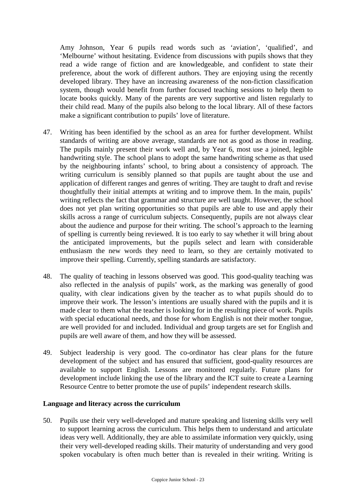Amy Johnson, Year 6 pupils read words such as 'aviation', 'qualified', and 'Melbourne' without hesitating. Evidence from discussions with pupils shows that they read a wide range of fiction and are knowledgeable, and confident to state their preference, about the work of different authors. They are enjoying using the recently developed library. They have an increasing awareness of the non-fiction classification system, though would benefit from further focused teaching sessions to help them to locate books quickly. Many of the parents are very supportive and listen regularly to their child read. Many of the pupils also belong to the local library. All of these factors make a significant contribution to pupils' love of literature.

- 47. Writing has been identified by the school as an area for further development. Whilst standards of writing are above average, standards are not as good as those in reading. The pupils mainly present their work well and, by Year 6, most use a joined, legible handwriting style. The school plans to adopt the same handwriting scheme as that used by the neighbouring infants' school, to bring about a consistency of approach. The writing curriculum is sensibly planned so that pupils are taught about the use and application of different ranges and genres of writing. They are taught to draft and revise thoughtfully their initial attempts at writing and to improve them. In the main, pupils' writing reflects the fact that grammar and structure are well taught. However, the school does not yet plan writing opportunities so that pupils are able to use and apply their skills across a range of curriculum subjects. Consequently, pupils are not always clear about the audience and purpose for their writing. The school's approach to the learning of spelling is currently being reviewed. It is too early to say whether it will bring about the anticipated improvements, but the pupils select and learn with considerable enthusiasm the new words they need to learn, so they are certainly motivated to improve their spelling. Currently, spelling standards are satisfactory.
- 48. The quality of teaching in lessons observed was good. This good-quality teaching was also reflected in the analysis of pupils' work, as the marking was generally of good quality, with clear indications given by the teacher as to what pupils should do to improve their work. The lesson's intentions are usually shared with the pupils and it is made clear to them what the teacher is looking for in the resulting piece of work. Pupils with special educational needs, and those for whom English is not their mother tongue, are well provided for and included. Individual and group targets are set for English and pupils are well aware of them, and how they will be assessed.
- 49. Subject leadership is very good. The co-ordinator has clear plans for the future development of the subject and has ensured that sufficient, good-quality resources are available to support English. Lessons are monitored regularly. Future plans for development include linking the use of the library and the ICT suite to create a Learning Resource Centre to better promote the use of pupils' independent research skills.

### **Language and literacy across the curriculum**

50. Pupils use their very well-developed and mature speaking and listening skills very well to support learning across the curriculum. This helps them to understand and articulate ideas very well. Additionally, they are able to assimilate information very quickly, using their very well-developed reading skills. Their maturity of understanding and very good spoken vocabulary is often much better than is revealed in their writing. Writing is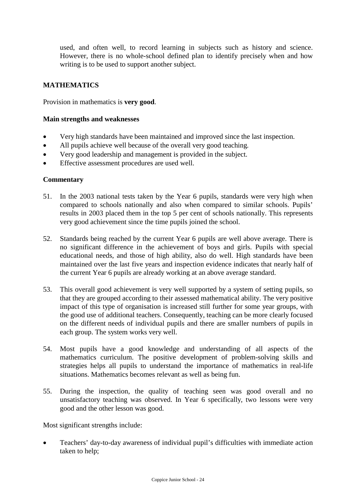used, and often well, to record learning in subjects such as history and science. However, there is no whole-school defined plan to identify precisely when and how writing is to be used to support another subject.

### **MATHEMATICS**

Provision in mathematics is **very good**.

#### **Main strengths and weaknesses**

- Very high standards have been maintained and improved since the last inspection.
- All pupils achieve well because of the overall very good teaching.
- Very good leadership and management is provided in the subject.
- Effective assessment procedures are used well.

#### **Commentary**

- 51. In the 2003 national tests taken by the Year 6 pupils, standards were very high when compared to schools nationally and also when compared to similar schools. Pupils' results in 2003 placed them in the top 5 per cent of schools nationally. This represents very good achievement since the time pupils joined the school.
- 52. Standards being reached by the current Year 6 pupils are well above average. There is no significant difference in the achievement of boys and girls. Pupils with special educational needs, and those of high ability, also do well. High standards have been maintained over the last five years and inspection evidence indicates that nearly half of the current Year 6 pupils are already working at an above average standard.
- 53. This overall good achievement is very well supported by a system of setting pupils, so that they are grouped according to their assessed mathematical ability. The very positive impact of this type of organisation is increased still further for some year groups, with the good use of additional teachers. Consequently, teaching can be more clearly focused on the different needs of individual pupils and there are smaller numbers of pupils in each group. The system works very well.
- 54. Most pupils have a good knowledge and understanding of all aspects of the mathematics curriculum. The positive development of problem-solving skills and strategies helps all pupils to understand the importance of mathematics in real-life situations. Mathematics becomes relevant as well as being fun.
- 55. During the inspection, the quality of teaching seen was good overall and no unsatisfactory teaching was observed. In Year 6 specifically, two lessons were very good and the other lesson was good.

Most significant strengths include:

 Teachers' day-to-day awareness of individual pupil's difficulties with immediate action taken to help;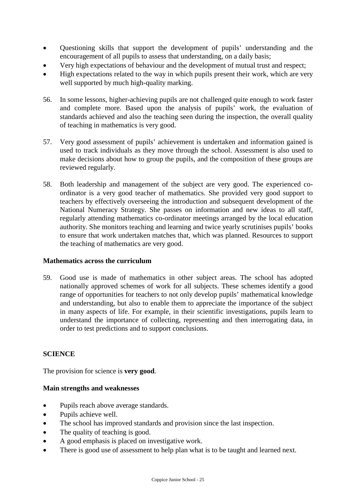- Questioning skills that support the development of pupils' understanding and the encouragement of all pupils to assess that understanding, on a daily basis;
- Very high expectations of behaviour and the development of mutual trust and respect;
- High expectations related to the way in which pupils present their work, which are very well supported by much high-quality marking.
- 56. In some lessons, higher-achieving pupils are not challenged quite enough to work faster and complete more. Based upon the analysis of pupils' work, the evaluation of standards achieved and also the teaching seen during the inspection, the overall quality of teaching in mathematics is very good.
- 57. Very good assessment of pupils' achievement is undertaken and information gained is used to track individuals as they move through the school. Assessment is also used to make decisions about how to group the pupils, and the composition of these groups are reviewed regularly.
- 58. Both leadership and management of the subject are very good. The experienced coordinator is a very good teacher of mathematics. She provided very good support to teachers by effectively overseeing the introduction and subsequent development of the National Numeracy Strategy. She passes on information and new ideas to all staff, regularly attending mathematics co-ordinator meetings arranged by the local education authority. She monitors teaching and learning and twice yearly scrutinises pupils' books to ensure that work undertaken matches that, which was planned. Resources to support the teaching of mathematics are very good.

### **Mathematics across the curriculum**

59. Good use is made of mathematics in other subject areas. The school has adopted nationally approved schemes of work for all subjects. These schemes identify a good range of opportunities for teachers to not only develop pupils' mathematical knowledge and understanding, but also to enable them to appreciate the importance of the subject in many aspects of life. For example, in their scientific investigations, pupils learn to understand the importance of collecting, representing and then interrogating data, in order to test predictions and to support conclusions.

### **SCIENCE**

The provision for science is **very good**.

#### **Main strengths and weaknesses**

- Pupils reach above average standards.
- Pupils achieve well.
- The school has improved standards and provision since the last inspection.
- The quality of teaching is good.
- A good emphasis is placed on investigative work.
- There is good use of assessment to help plan what is to be taught and learned next.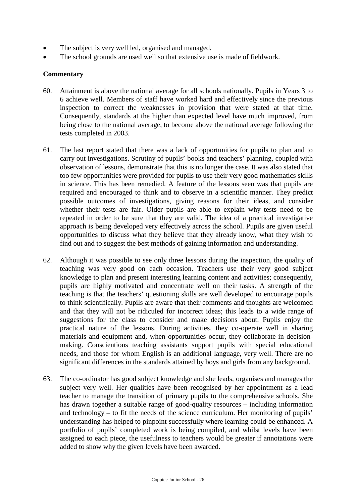- The subject is very well led, organised and managed.
- The school grounds are used well so that extensive use is made of fieldwork.

- 60. Attainment is above the national average for all schools nationally. Pupils in Years 3 to 6 achieve well. Members of staff have worked hard and effectively since the previous inspection to correct the weaknesses in provision that were stated at that time. Consequently, standards at the higher than expected level have much improved, from being close to the national average, to become above the national average following the tests completed in 2003.
- 61. The last report stated that there was a lack of opportunities for pupils to plan and to carry out investigations. Scrutiny of pupils' books and teachers' planning, coupled with observation of lessons, demonstrate that this is no longer the case. It was also stated that too few opportunities were provided for pupils to use their very good mathematics skills in science. This has been remedied. A feature of the lessons seen was that pupils are required and encouraged to think and to observe in a scientific manner. They predict possible outcomes of investigations, giving reasons for their ideas, and consider whether their tests are fair. Older pupils are able to explain why tests need to be repeated in order to be sure that they are valid. The idea of a practical investigative approach is being developed very effectively across the school. Pupils are given useful opportunities to discuss what they believe that they already know, what they wish to find out and to suggest the best methods of gaining information and understanding.
- 62. Although it was possible to see only three lessons during the inspection, the quality of teaching was very good on each occasion. Teachers use their very good subject knowledge to plan and present interesting learning content and activities; consequently, pupils are highly motivated and concentrate well on their tasks. A strength of the teaching is that the teachers' questioning skills are well developed to encourage pupils to think scientifically. Pupils are aware that their comments and thoughts are welcomed and that they will not be ridiculed for incorrect ideas; this leads to a wide range of suggestions for the class to consider and make decisions about. Pupils enjoy the practical nature of the lessons. During activities, they co-operate well in sharing materials and equipment and, when opportunities occur, they collaborate in decisionmaking. Conscientious teaching assistants support pupils with special educational needs, and those for whom English is an additional language, very well. There are no significant differences in the standards attained by boys and girls from any background.
- 63. The co-ordinator has good subject knowledge and she leads, organises and manages the subject very well. Her qualities have been recognised by her appointment as a lead teacher to manage the transition of primary pupils to the comprehensive schools. She has drawn together a suitable range of good-quality resources – including information and technology – to fit the needs of the science curriculum. Her monitoring of pupils' understanding has helped to pinpoint successfully where learning could be enhanced. A portfolio of pupils' completed work is being compiled, and whilst levels have been assigned to each piece, the usefulness to teachers would be greater if annotations were added to show why the given levels have been awarded.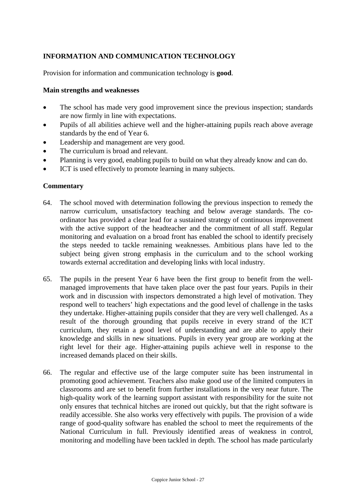## **INFORMATION AND COMMUNICATION TECHNOLOGY**

Provision for information and communication technology is **good**.

#### **Main strengths and weaknesses**

- The school has made very good improvement since the previous inspection; standards are now firmly in line with expectations.
- Pupils of all abilities achieve well and the higher-attaining pupils reach above average standards by the end of Year 6.
- Leadership and management are very good.
- The curriculum is broad and relevant.
- Planning is very good, enabling pupils to build on what they already know and can do.
- ICT is used effectively to promote learning in many subjects.

- 64. The school moved with determination following the previous inspection to remedy the narrow curriculum, unsatisfactory teaching and below average standards. The coordinator has provided a clear lead for a sustained strategy of continuous improvement with the active support of the headteacher and the commitment of all staff. Regular monitoring and evaluation on a broad front has enabled the school to identify precisely the steps needed to tackle remaining weaknesses. Ambitious plans have led to the subject being given strong emphasis in the curriculum and to the school working towards external accreditation and developing links with local industry.
- 65. The pupils in the present Year 6 have been the first group to benefit from the wellmanaged improvements that have taken place over the past four years. Pupils in their work and in discussion with inspectors demonstrated a high level of motivation. They respond well to teachers' high expectations and the good level of challenge in the tasks they undertake. Higher-attaining pupils consider that they are very well challenged. As a result of the thorough grounding that pupils receive in every strand of the ICT curriculum, they retain a good level of understanding and are able to apply their knowledge and skills in new situations. Pupils in every year group are working at the right level for their age. Higher-attaining pupils achieve well in response to the increased demands placed on their skills.
- 66. The regular and effective use of the large computer suite has been instrumental in promoting good achievement. Teachers also make good use of the limited computers in classrooms and are set to benefit from further installations in the very near future. The high-quality work of the learning support assistant with responsibility for the suite not only ensures that technical hitches are ironed out quickly, but that the right software is readily accessible. She also works very effectively with pupils. The provision of a wide range of good-quality software has enabled the school to meet the requirements of the National Curriculum in full. Previously identified areas of weakness in control, monitoring and modelling have been tackled in depth. The school has made particularly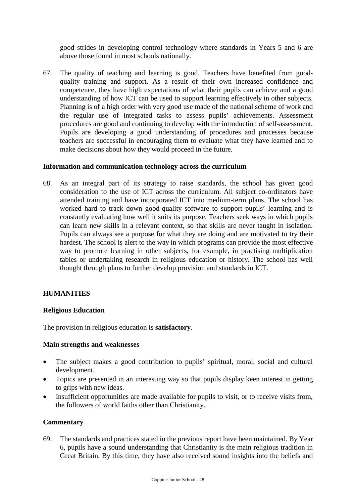good strides in developing control technology where standards in Years 5 and 6 are above those found in most schools nationally.

67. The quality of teaching and learning is good. Teachers have benefited from goodquality training and support. As a result of their own increased confidence and competence, they have high expectations of what their pupils can achieve and a good understanding of how ICT can be used to support learning effectively in other subjects. Planning is of a high order with very good use made of the national scheme of work and the regular use of integrated tasks to assess pupils' achievements. Assessment procedures are good and continuing to develop with the introduction of self-assessment. Pupils are developing a good understanding of procedures and processes because teachers are successful in encouraging them to evaluate what they have learned and to make decisions about how they would proceed in the future.

### **Information and communication technology across the curriculum**

68. As an integral part of its strategy to raise standards, the school has given good consideration to the use of ICT across the curriculum. All subject co-ordinators have attended training and have incorporated ICT into medium-term plans. The school has worked hard to track down good-quality software to support pupils' learning and is constantly evaluating how well it suits its purpose. Teachers seek ways in which pupils can learn new skills in a relevant context, so that skills are never taught in isolation. Pupils can always see a purpose for what they are doing and are motivated to try their hardest. The school is alert to the way in which programs can provide the most effective way to promote learning in other subjects, for example, in practising multiplication tables or undertaking research in religious education or history. The school has well thought through plans to further develop provision and standards in ICT.

### **HUMANITIES**

#### **Religious Education**

The provision in religious education is **satisfactory**.

#### **Main strengths and weaknesses**

- The subject makes a good contribution to pupils' spiritual, moral, social and cultural development.
- Topics are presented in an interesting way so that pupils display keen interest in getting to grips with new ideas.
- Insufficient opportunities are made available for pupils to visit, or to receive visits from, the followers of world faiths other than Christianity.

#### **Commentary**

69. The standards and practices stated in the previous report have been maintained. By Year 6, pupils have a sound understanding that Christianity is the main religious tradition in Great Britain. By this time, they have also received sound insights into the beliefs and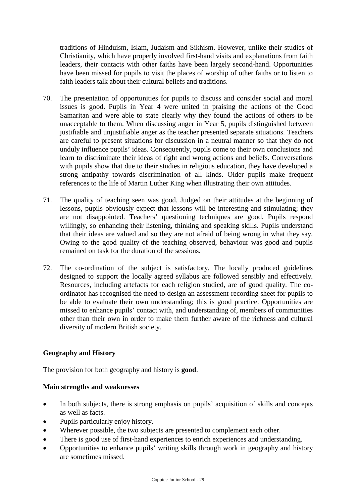traditions of Hinduism, Islam, Judaism and Sikhism. However, unlike their studies of Christianity, which have properly involved first-hand visits and explanations from faith leaders, their contacts with other faiths have been largely second-hand. Opportunities have been missed for pupils to visit the places of worship of other faiths or to listen to faith leaders talk about their cultural beliefs and traditions.

- 70. The presentation of opportunities for pupils to discuss and consider social and moral issues is good. Pupils in Year 4 were united in praising the actions of the Good Samaritan and were able to state clearly why they found the actions of others to be unacceptable to them. When discussing anger in Year 5, pupils distinguished between justifiable and unjustifiable anger as the teacher presented separate situations. Teachers are careful to present situations for discussion in a neutral manner so that they do not unduly influence pupils' ideas. Consequently, pupils come to their own conclusions and learn to discriminate their ideas of right and wrong actions and beliefs. Conversations with pupils show that due to their studies in religious education, they have developed a strong antipathy towards discrimination of all kinds. Older pupils make frequent references to the life of Martin Luther King when illustrating their own attitudes.
- 71. The quality of teaching seen was good. Judged on their attitudes at the beginning of lessons, pupils obviously expect that lessons will be interesting and stimulating; they are not disappointed. Teachers' questioning techniques are good. Pupils respond willingly, so enhancing their listening, thinking and speaking skills. Pupils understand that their ideas are valued and so they are not afraid of being wrong in what they say. Owing to the good quality of the teaching observed, behaviour was good and pupils remained on task for the duration of the sessions.
- 72. The co-ordination of the subject is satisfactory. The locally produced guidelines designed to support the locally agreed syllabus are followed sensibly and effectively. Resources, including artefacts for each religion studied, are of good quality. The coordinator has recognised the need to design an assessment-recording sheet for pupils to be able to evaluate their own understanding; this is good practice. Opportunities are missed to enhance pupils' contact with, and understanding of, members of communities other than their own in order to make them further aware of the richness and cultural diversity of modern British society.

### **Geography and History**

The provision for both geography and history is **good**.

#### **Main strengths and weaknesses**

- In both subjects, there is strong emphasis on pupils' acquisition of skills and concepts as well as facts.
- Pupils particularly enjoy history.
- Wherever possible, the two subjects are presented to complement each other.
- There is good use of first-hand experiences to enrich experiences and understanding.
- Opportunities to enhance pupils' writing skills through work in geography and history are sometimes missed.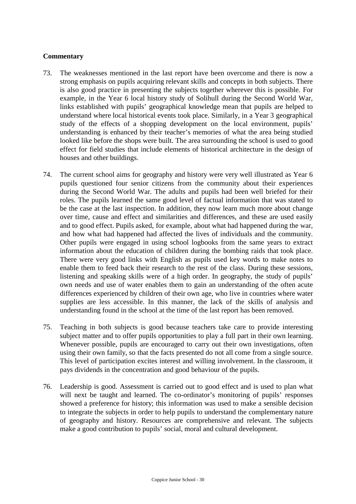- 73. The weaknesses mentioned in the last report have been overcome and there is now a strong emphasis on pupils acquiring relevant skills and concepts in both subjects. There is also good practice in presenting the subjects together wherever this is possible. For example, in the Year 6 local history study of Solihull during the Second World War, links established with pupils' geographical knowledge mean that pupils are helped to understand where local historical events took place. Similarly, in a Year 3 geographical study of the effects of a shopping development on the local environment, pupils' understanding is enhanced by their teacher's memories of what the area being studied looked like before the shops were built. The area surrounding the school is used to good effect for field studies that include elements of historical architecture in the design of houses and other buildings.
- 74. The current school aims for geography and history were very well illustrated as Year 6 pupils questioned four senior citizens from the community about their experiences during the Second World War. The adults and pupils had been well briefed for their roles. The pupils learned the same good level of factual information that was stated to be the case at the last inspection. In addition, they now learn much more about change over time, cause and effect and similarities and differences, and these are used easily and to good effect. Pupils asked, for example, about what had happened during the war, and how what had happened had affected the lives of individuals and the community. Other pupils were engaged in using school logbooks from the same years to extract information about the education of children during the bombing raids that took place. There were very good links with English as pupils used key words to make notes to enable them to feed back their research to the rest of the class. During these sessions, listening and speaking skills were of a high order. In geography, the study of pupils' own needs and use of water enables them to gain an understanding of the often acute differences experienced by children of their own age, who live in countries where water supplies are less accessible. In this manner, the lack of the skills of analysis and understanding found in the school at the time of the last report has been removed.
- 75. Teaching in both subjects is good because teachers take care to provide interesting subject matter and to offer pupils opportunities to play a full part in their own learning. Whenever possible, pupils are encouraged to carry out their own investigations, often using their own family, so that the facts presented do not all come from a single source. This level of participation excites interest and willing involvement. In the classroom, it pays dividends in the concentration and good behaviour of the pupils.
- 76. Leadership is good. Assessment is carried out to good effect and is used to plan what will next be taught and learned. The co-ordinator's monitoring of pupils' responses showed a preference for history; this information was used to make a sensible decision to integrate the subjects in order to help pupils to understand the complementary nature of geography and history. Resources are comprehensive and relevant. The subjects make a good contribution to pupils' social, moral and cultural development.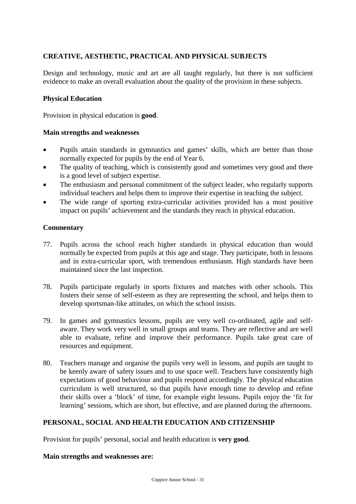## **CREATIVE, AESTHETIC, PRACTICAL AND PHYSICAL SUBJECTS**

Design and technology, music and art are all taught regularly, but there is not sufficient evidence to make an overall evaluation about the quality of the provision in these subjects.

### **Physical Education**

Provision in physical education is **good**.

#### **Main strengths and weaknesses**

- Pupils attain standards in gymnastics and games' skills, which are better than those normally expected for pupils by the end of Year 6.
- The quality of teaching, which is consistently good and sometimes very good and there is a good level of subject expertise.
- The enthusiasm and personal commitment of the subject leader, who regularly supports individual teachers and helps them to improve their expertise in teaching the subject.
- The wide range of sporting extra-curricular activities provided has a most positive impact on pupils' achievement and the standards they reach in physical education.

### **Commentary**

- 77. Pupils across the school reach higher standards in physical education than would normally be expected from pupils at this age and stage. They participate, both in lessons and in extra-curricular sport, with tremendous enthusiasm. High standards have been maintained since the last inspection.
- 78. Pupils participate regularly in sports fixtures and matches with other schools. This fosters their sense of self-esteem as they are representing the school, and helps them to develop sportsman-like attitudes, on which the school insists.
- 79. In games and gymnastics lessons, pupils are very well co-ordinated, agile and selfaware. They work very well in small groups and teams. They are reflective and are well able to evaluate, refine and improve their performance. Pupils take great care of resources and equipment.
- 80. Teachers manage and organise the pupils very well in lessons, and pupils are taught to be keenly aware of safety issues and to use space well. Teachers have consistently high expectations of good behaviour and pupils respond accordingly. The physical education curriculum is well structured, so that pupils have enough time to develop and refine their skills over a 'block' of time, for example eight lessons. Pupils enjoy the 'fit for learning' sessions, which are short, but effective, and are planned during the afternoons.

### **PERSONAL, SOCIAL AND HEALTH EDUCATION AND CITIZENSHIP**

Provision for pupils' personal, social and health education is **very good**.

#### **Main strengths and weaknesses are:**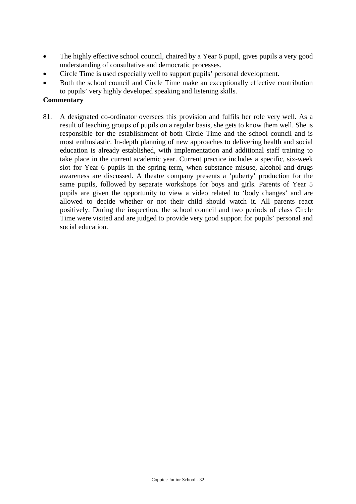- The highly effective school council, chaired by a Year 6 pupil, gives pupils a very good understanding of consultative and democratic processes.
- Circle Time is used especially well to support pupils' personal development.
- Both the school council and Circle Time make an exceptionally effective contribution to pupils' very highly developed speaking and listening skills.

### **Commentary**

81. A designated co-ordinator oversees this provision and fulfils her role very well. As a result of teaching groups of pupils on a regular basis, she gets to know them well. She is responsible for the establishment of both Circle Time and the school council and is most enthusiastic. In-depth planning of new approaches to delivering health and social education is already established, with implementation and additional staff training to take place in the current academic year. Current practice includes a specific, six-week slot for Year 6 pupils in the spring term, when substance misuse, alcohol and drugs awareness are discussed. A theatre company presents a 'puberty' production for the same pupils, followed by separate workshops for boys and girls. Parents of Year 5 pupils are given the opportunity to view a video related to 'body changes' and are allowed to decide whether or not their child should watch it. All parents react positively. During the inspection, the school council and two periods of class Circle Time were visited and are judged to provide very good support for pupils' personal and social education.